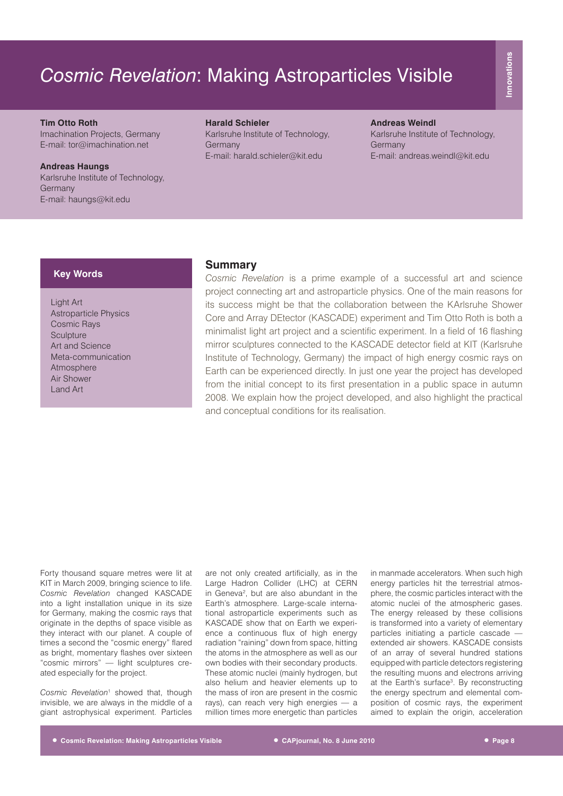# *Cosmic Revelation*: Making Astroparticles Visible

## **Tim Otto Roth**

Imachination Projects, Germany E-mail: tor@imachination.net

**Andreas Haungs** Karlsruhe Institute of Technology, Germany E-mail: haungs@kit.edu

### **Harald Schieler**

Karlsruhe Institute of Technology, Germany E-mail: harald.schieler@kit.edu

### **Andreas Weindl**

Karlsruhe Institute of Technology, **Germany** E-mail: andreas.weindl@kit.edu

# **Key Words**

Light Art Astroparticle Physics Cosmic Rays **Sculpture** Art and Science Meta-communication Atmosphere Air Shower Land Art

## **Summary**

*Cosmic Revelation* is a prime example of a successful art and science project connecting art and astroparticle physics. One of the main reasons for its success might be that the collaboration between the KArlsruhe Shower Core and Array DEtector (KASCADE) experiment and Tim Otto Roth is both a minimalist light art project and a scientific experiment. In a field of 16 flashing mirror sculptures connected to the KASCADE detector field at KIT (Karlsruhe Institute of Technology, Germany) the impact of high energy cosmic rays on Earth can be experienced directly. In just one year the project has developed from the initial concept to its first presentation in a public space in autumn 2008. We explain how the project developed, and also highlight the practical and conceptual conditions for its realisation.

Forty thousand square metres were lit at KIT in March 2009, bringing science to life. *Cosmic Revelation* changed KASCADE into a light installation unique in its size for Germany, making the cosmic rays that originate in the depths of space visible as they interact with our planet. A couple of times a second the "cosmic energy" flared as bright, momentary flashes over sixteen "cosmic mirrors" — light sculptures created especially for the project.

Cosmic Revelation<sup>1</sup> showed that, though invisible, we are always in the middle of a giant astrophysical experiment. Particles

are not only created artificially, as in the Large Hadron Collider (LHC) at CERN in Geneva<sup>2</sup>, but are also abundant in the Earth's atmosphere. Large-scale international astroparticle experiments such as KASCADE show that on Earth we experience a continuous flux of high energy radiation "raining" down from space, hitting the atoms in the atmosphere as well as our own bodies with their secondary products. These atomic nuclei (mainly hydrogen, but also helium and heavier elements up to the mass of iron are present in the cosmic rays), can reach very high energies — a million times more energetic than particles

in manmade accelerators. When such high energy particles hit the terrestrial atmosphere, the cosmic particles interact with the atomic nuclei of the atmospheric gases. The energy released by these collisions is transformed into a variety of elementary particles initiating a particle cascade extended air showers. KASCADE consists of an array of several hundred stations equipped with particle detectors registering the resulting muons and electrons arriving at the Earth's surface<sup>3</sup>. By reconstructing the energy spectrum and elemental composition of cosmic rays, the experiment aimed to explain the origin, acceleration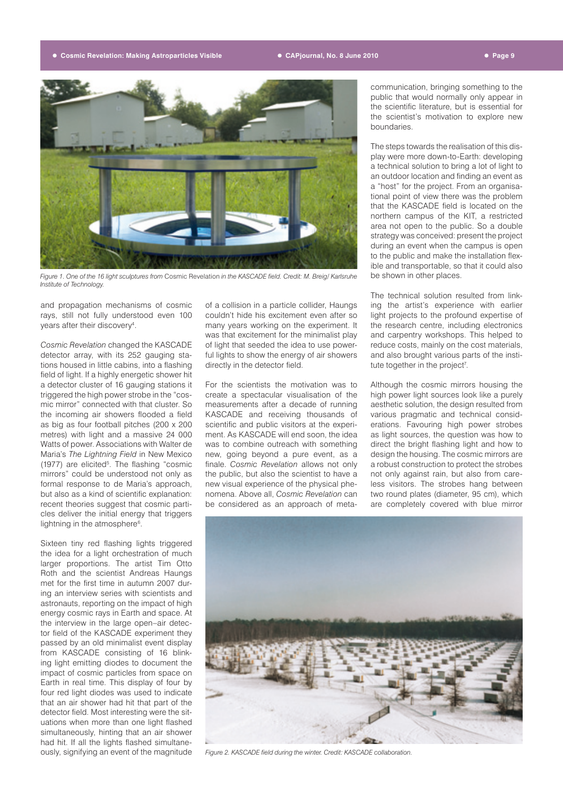#### **• Cosmic Revelation: Making Astroparticles Visible • CAPjournal, No. 8 June 2010 • Page 9**



*Figure 1. One of the 16 light sculptures from* Cosmic Revelation *in the KASCADE field. Credit: M. Breig/ Karlsruhe Institute of Technology.*

and propagation mechanisms of cosmic rays, still not fully understood even 100 years after their discovery<sup>4</sup>.

*Cosmic Revelation* changed the KASCADE detector array, with its 252 gauging stations housed in little cabins, into a flashing field of light. If a highly energetic shower hit a detector cluster of 16 gauging stations it triggered the high power strobe in the "cosmic mirror" connected with that cluster. So the incoming air showers flooded a field as big as four football pitches (200 x 200 metres) with light and a massive 24 000 Watts of power. Associations with Walter de Maria's *The Lightning Field* in New Mexico (1977) are elicited<sup>5</sup>. The flashing "cosmic mirrors" could be understood not only as formal response to de Maria's approach, but also as a kind of scientific explanation: recent theories suggest that cosmic particles deliver the initial energy that triggers lightning in the atmosphere<sup>6</sup>.

Sixteen tiny red flashing lights triggered the idea for a light orchestration of much larger proportions. The artist Tim Otto Roth and the scientist Andreas Haungs met for the first time in autumn 2007 during an interview series with scientists and astronauts, reporting on the impact of high energy cosmic rays in Earth and space. At the interview in the large open–air detector field of the KASCADE experiment they passed by an old minimalist event display from KASCADE consisting of 16 blinking light emitting diodes to document the impact of cosmic particles from space on Earth in real time. This display of four by four red light diodes was used to indicate that an air shower had hit that part of the detector field. Most interesting were the situations when more than one light flashed simultaneously, hinting that an air shower had hit. If all the lights flashed simultaneously, signifying an event of the magnitude

of a collision in a particle collider, Haungs couldn't hide his excitement even after so many years working on the experiment. It was that excitement for the minimalist play of light that seeded the idea to use powerful lights to show the energy of air showers directly in the detector field.

For the scientists the motivation was to create a spectacular visualisation of the measurements after a decade of running KASCADE and receiving thousands of scientific and public visitors at the experiment. As KASCADE will end soon, the idea was to combine outreach with something new, going beyond a pure event, as a finale. *Cosmic Revelation* allows not only the public, but also the scientist to have a new visual experience of the physical phenomena. Above all, *Cosmic Revelation* can be considered as an approach of meta-

communication, bringing something to the public that would normally only appear in the scientific literature, but is essential for the scientist's motivation to explore new boundaries.

The steps towards the realisation of this display were more down-to-Earth: developing a technical solution to bring a lot of light to an outdoor location and finding an event as a "host" for the project. From an organisational point of view there was the problem that the KASCADE field is located on the northern campus of the KIT, a restricted area not open to the public. So a double strategy was conceived: present the project during an event when the campus is open to the public and make the installation flexible and transportable, so that it could also be shown in other places.

The technical solution resulted from linking the artist's experience with earlier light projects to the profound expertise of the research centre, including electronics and carpentry workshops. This helped to reduce costs, mainly on the cost materials, and also brought various parts of the institute together in the project<sup>7</sup>.

Although the cosmic mirrors housing the high power light sources look like a purely aesthetic solution, the design resulted from various pragmatic and technical considerations. Favouring high power strobes as light sources, the question was how to direct the bright flashing light and how to design the housing. The cosmic mirrors are a robust construction to protect the strobes not only against rain, but also from careless visitors. The strobes hang between two round plates (diameter, 95 cm), which are completely covered with blue mirror



*Figure 2. KASCADE field during the winter. Credit: KASCADE collaboration.*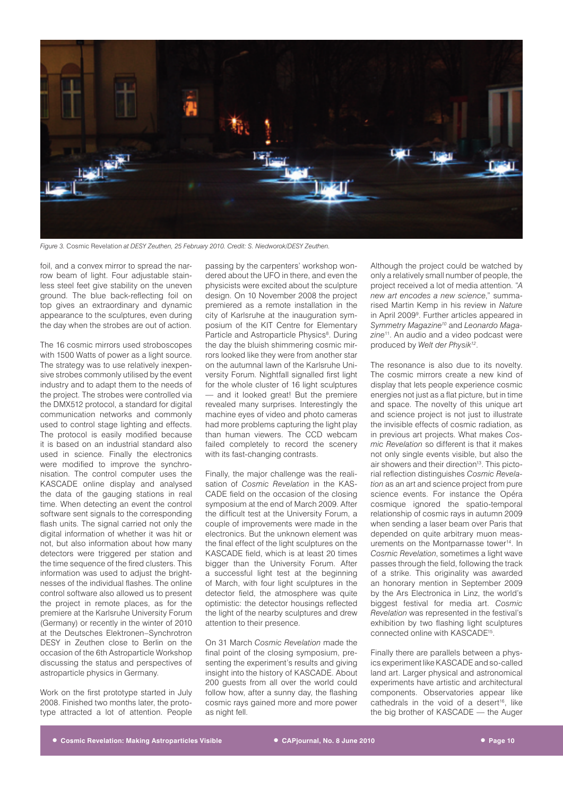

*Figure 3.* Cosmic Revelation *at DESY Zeuthen, 25 February 2010. Credit: S. Niedworok/DESY Zeuthen.*

foil, and a convex mirror to spread the narrow beam of light. Four adjustable stainless steel feet give stability on the uneven ground. The blue back-reflecting foil on top gives an extraordinary and dynamic appearance to the sculptures, even during the day when the strobes are out of action.

The 16 cosmic mirrors used stroboscopes with 1500 Watts of power as a light source. The strategy was to use relatively inexpensive strobes commonly utilised by the event industry and to adapt them to the needs of the project. The strobes were controlled via the DMX512 protocol, a standard for digital communication networks and commonly used to control stage lighting and effects. The protocol is easily modified because it is based on an industrial standard also used in science. Finally the electronics were modified to improve the synchronisation. The control computer uses the KASCADE online display and analysed the data of the gauging stations in real time. When detecting an event the control software sent signals to the corresponding flash units. The signal carried not only the digital information of whether it was hit or not, but also information about how many detectors were triggered per station and the time sequence of the fired clusters. This information was used to adjust the brightnesses of the individual flashes. The online control software also allowed us to present the project in remote places, as for the premiere at the Karlsruhe University Forum (Germany) or recently in the winter of 2010 at the Deutsches Elektronen–Synchrotron DESY in Zeuthen close to Berlin on the occasion of the 6th Astroparticle Workshop discussing the status and perspectives of astroparticle physics in Germany.

Work on the first prototype started in July 2008. Finished two months later, the prototype attracted a lot of attention. People

passing by the carpenters' workshop wondered about the UFO in there, and even the physicists were excited about the sculpture design. On 10 November 2008 the project premiered as a remote installation in the city of Karlsruhe at the inauguration symposium of the KIT Centre for Elementary Particle and Astroparticle Physics<sup>8</sup>. During the day the bluish shimmering cosmic mirrors looked like they were from another star on the autumnal lawn of the Karlsruhe University Forum. Nightfall signalled first light for the whole cluster of 16 light sculptures — and it looked great! But the premiere revealed many surprises. Interestingly the machine eyes of video and photo cameras had more problems capturing the light play than human viewers. The CCD webcam failed completely to record the scenery with its fast-changing contrasts.

Finally, the major challenge was the realisation of *Cosmic Revelation* in the KAS-CADE field on the occasion of the closing symposium at the end of March 2009. After the difficult test at the University Forum, a couple of improvements were made in the electronics. But the unknown element was the final effect of the light sculptures on the KASCADE field, which is at least 20 times bigger than the University Forum. After a successful light test at the beginning of March, with four light sculptures in the detector field, the atmosphere was quite optimistic: the detector housings reflected the light of the nearby sculptures and drew attention to their presence.

On 31 March *Cosmic Revelation* made the final point of the closing symposium, presenting the experiment's results and giving insight into the history of KASCADE. About 200 guests from all over the world could follow how, after a sunny day, the flashing cosmic rays gained more and more power as night fell.

Although the project could be watched by only a relatively small number of people, the project received a lot of media attention. "*A new art encodes a new science*," summarised Martin Kemp in his review in *Nature* in April 2009<sup>9</sup>. Further articles appeared in *Symmetry Magazine10* and *Leonardo Magazine*11. An audio and a video podcast were produced by *Welt der Physik12*.

The resonance is also due to its novelty. The cosmic mirrors create a new kind of display that lets people experience cosmic energies not just as a flat picture, but in time and space. The novelty of this unique art and science project is not just to illustrate the invisible effects of cosmic radiation, as in previous art projects. What makes *Cosmic Revelation* so different is that it makes not only single events visible, but also the air showers and their direction<sup>13</sup>. This pictorial reflection distinguishes *Cosmic Revelation* as an art and science project from pure science events. For instance the Opéra cosmique ignored the spatio-temporal relationship of cosmic rays in autumn 2009 when sending a laser beam over Paris that depended on quite arbitrary muon measurements on the Montparnasse tower<sup>14</sup>. In *Cosmic Revelation*, sometimes a light wave passes through the field, following the track of a strike. This originality was awarded an honorary mention in September 2009 by the Ars Electronica in Linz, the world's biggest festival for media art. *Cosmic Revelation* was represented in the festival's exhibition by two flashing light sculptures connected online with KASCADE15.

Finally there are parallels between a physics experiment like KASCADE and so-called land art. Larger physical and astronomical experiments have artistic and architectural components. Observatories appear like cathedrals in the void of a desert<sup>16</sup>, like the big brother of KASCADE — the Auger